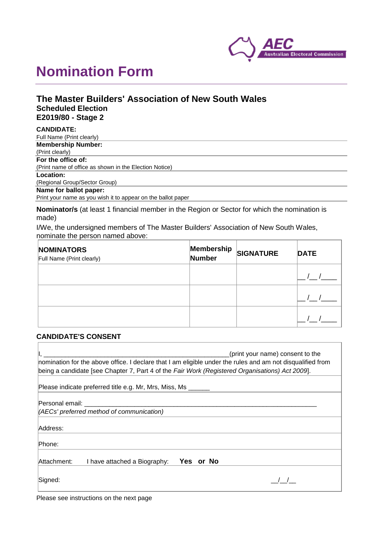

# **Nomination Form**

# **The Master Builders' Association of New South Wales Scheduled Election E2019/80 - Stage 2**

| <b>CANDIDATE:</b>                                            |
|--------------------------------------------------------------|
| Full Name (Print clearly)                                    |
| <b>Membership Number:</b>                                    |
| (Print clearly)                                              |
| For the office of:                                           |
| (Print name of office as shown in the Election Notice)       |
| Location:                                                    |
| (Regional Group/Sector Group)                                |
| Name for ballot paper:                                       |
| Print your name as you wish it to appear on the ballot paper |

**Nominator/s** (at least 1 financial member in the Region or Sector for which the nomination is made)

I/We, the undersigned members of The Master Builders' Association of New South Wales, nominate the person named above:

| <b>NOMINATORS</b><br>Full Name (Print clearly) | Membership<br>Number | <b>SIGNATURE</b> | <b>DATE</b> |
|------------------------------------------------|----------------------|------------------|-------------|
|                                                |                      |                  |             |
|                                                |                      |                  |             |
|                                                |                      |                  |             |

## **CANDIDATE'S CONSENT**

| (print your name) consent to the<br>nomination for the above office. I declare that I am eligible under the rules and am not disqualified from<br>being a candidate [see Chapter 7, Part 4 of the Fair Work (Registered Organisations) Act 2009].                           |  |  |  |  |
|-----------------------------------------------------------------------------------------------------------------------------------------------------------------------------------------------------------------------------------------------------------------------------|--|--|--|--|
| Please indicate preferred title e.g. Mr, Mrs, Miss, Ms                                                                                                                                                                                                                      |  |  |  |  |
| Personal email: with a state of the state of the state of the state of the state of the state of the state of the state of the state of the state of the state of the state of the state of the state of the state of the stat<br>(AECs' preferred method of communication) |  |  |  |  |
| Address:                                                                                                                                                                                                                                                                    |  |  |  |  |
| Phone:                                                                                                                                                                                                                                                                      |  |  |  |  |
| Attachment:<br>Yes or No<br>I have attached a Biography:                                                                                                                                                                                                                    |  |  |  |  |
| Signed:                                                                                                                                                                                                                                                                     |  |  |  |  |

Please see instructions on the next page